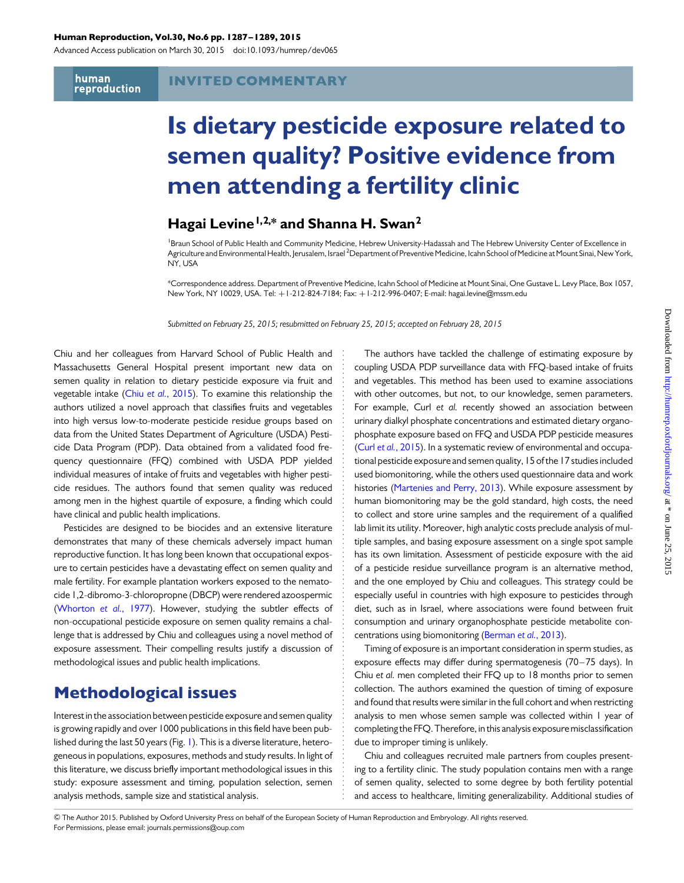#### Human Reproduction, Vol.30, No.6 pp. 1287 –1289, 2015

Advanced Access publication on March 30, 2015 doi:10.1093/humrep/dev065

human reproduction

#### INVITED COMMENTARY

# Is dietary pesticide exposure related to semen quality? Positive evidence from men attending a fertility clinic

#### Hagai Levine<sup>1,2,\*</sup> and Shanna H. Swan<sup>2</sup>

<sup>1</sup> Braun School of Public Health and Community Medicine, Hebrew University-Hadassah and The Hebrew University Center of Excellence in Agriculture and Environmental Health, Jerusalem, Israel <sup>2</sup>Department of Preventive Medicine, Icahn School of Medicine at Mount Sinai, New York, NY, USA

\*Correspondence address. Department of Preventive Medicine, Icahn School of Medicine at Mount Sinai, One Gustave L. Levy Place, Box 1057, New York, NY 10029, USA. Tel: +1-212-824-7184; Fax: +1-212-996-0407; E-mail: hagai.levine@mssm.edu

Submitted on February 25, 2015; resubmitted on February 25, 2015; accepted on February 28, 2015

Chiu and her colleagues from Harvard School of Public Health and Massachusetts General Hospital present important new data on semen quality in relation to dietary pesticide exposure via fruit and vegetable intake (Chiu et al.[, 2015\)](#page-2-0). To examine this relationship the authors utilized a novel approach that classifies fruits and vegetables into high versus low-to-moderate pesticide residue groups based on data from the United States Department of Agriculture (USDA) Pesticide Data Program (PDP). Data obtained from a validated food frequency questionnaire (FFQ) combined with USDA PDP yielded individual measures of intake of fruits and vegetables with higher pesticide residues. The authors found that semen quality was reduced among men in the highest quartile of exposure, a finding which could have clinical and public health implications.

Pesticides are designed to be biocides and an extensive literature demonstrates that many of these chemicals adversely impact human reproductive function. It has long been known that occupational exposure to certain pesticides have a devastating effect on semen quality and male fertility. For example plantation workers exposed to the nematocide 1,2-dibromo-3-chloropropne (DBCP) were rendered azoospermic [\(Whorton](#page-2-0) et al., 1977). However, studying the subtler effects of non-occupational pesticide exposure on semen quality remains a challenge that is addressed by Chiu and colleagues using a novel method of exposure assessment. Their compelling results justify a discussion of methodological issues and public health implications.

#### Methodological issues

Interest in the association between pesticide exposure and semen quality is growing rapidly and over 1000 publications in this field have been published during the last 50 years (Fig. [1](#page-1-0)). This is a diverse literature, heterogeneous in populations, exposures, methods and study results. In light of this literature, we discuss briefly important methodological issues in this study: exposure assessment and timing, population selection, semen analysis methods, sample size and statistical analysis.

The authors have tackled the challenge of estimating exposure by coupling USDA PDP surveillance data with FFQ-based intake of fruits and vegetables. This method has been used to examine associations with other outcomes, but not, to our knowledge, semen parameters. For example, Curl et al. recently showed an association between urinary dialkyl phosphate concentrations and estimated dietary organophosphate exposure based on FFQ and USDA PDP pesticide measures (Curl et al.[, 2015](#page-2-0)). In a systematic review of environmental and occupational pesticide exposure and semen quality, 15 of the 17 studies included used biomonitoring, while the others used questionnaire data and work histories ([Martenies and Perry, 2013\)](#page-2-0). While exposure assessment by human biomonitoring may be the gold standard, high costs, the need to collect and store urine samples and the requirement of a qualified lab limit its utility. Moreover, high analytic costs preclude analysis of multiple samples, and basing exposure assessment on a single spot sample has its own limitation. Assessment of pesticide exposure with the aid of a pesticide residue surveillance program is an alternative method, and the one employed by Chiu and colleagues. This strategy could be especially useful in countries with high exposure to pesticides through diet, such as in Israel, where associations were found between fruit consumption and urinary organophosphate pesticide metabolite concentrations using biomonitoring ([Berman](#page-2-0) et al., 2013).

Timing of exposure is an important consideration in sperm studies, as exposure effects may differ during spermatogenesis (70-75 days). In Chiu et al. men completed their FFQ up to 18 months prior to semen collection. The authors examined the question of timing of exposure and found that results were similar in the full cohort and when restricting analysis to men whose semen sample was collected within 1 year of completing the FFQ. Therefore, in this analysis exposuremisclassification due to improper timing is unlikely.

Chiu and colleagues recruited male partners from couples presenting to a fertility clinic. The study population contains men with a range of semen quality, selected to some degree by both fertility potential and access to healthcare, limiting generalizability. Additional studies of

& The Author 2015. Published by Oxford University Press on behalf of the European Society of Human Reproduction and Embryology. All rights reserved. For Permissions, please email: journals.permissions@oup.com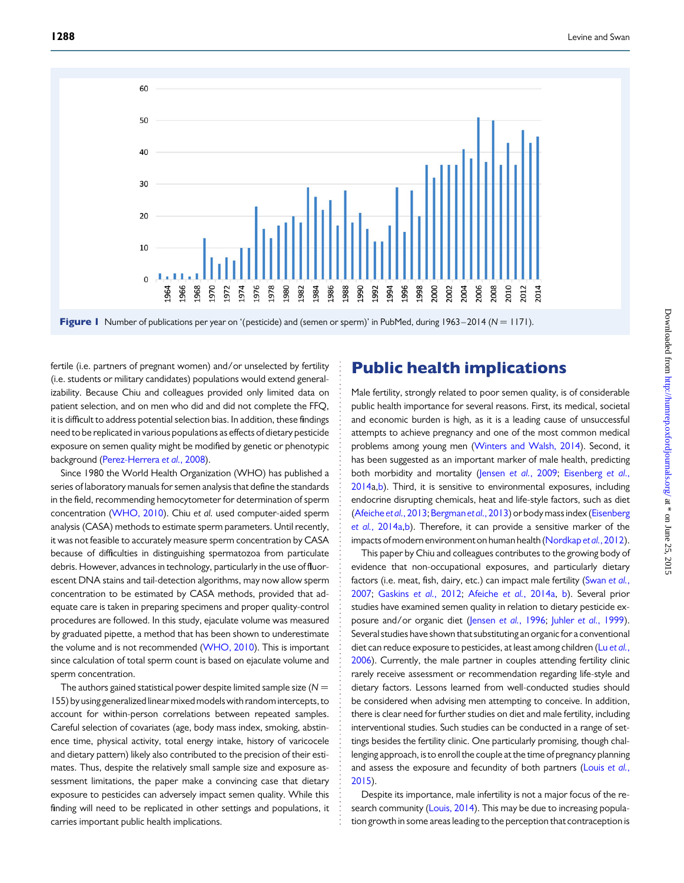<span id="page-1-0"></span>

fertile (i.e. partners of pregnant women) and/or unselected by fertility (i.e. students or military candidates) populations would extend generalizability. Because Chiu and colleagues provided only limited data on patient selection, and on men who did and did not complete the FFQ, it is difficult to address potential selection bias. In addition, these findings need to be replicated in various populations as effects of dietary pesticide exposure on semen quality might be modified by genetic or phenotypic background ([Perez-Herrera](#page-2-0) et al., 2008).

Since 1980 the World Health Organization (WHO) has published a series of laboratory manuals for semen analysis that define the standards in the field, recommending hemocytometer for determination of sperm concentration [\(WHO, 2010](#page-2-0)). Chiu et al. used computer-aided sperm analysis (CASA) methods to estimate sperm parameters. Until recently, it was not feasible to accurately measure sperm concentration by CASA because of difficulties in distinguishing spermatozoa from particulate debris. However, advances in technology, particularly in the use of fluorescent DNA stains and tail-detection algorithms, may now allow sperm concentration to be estimated by CASA methods, provided that adequate care is taken in preparing specimens and proper quality-control procedures are followed. In this study, ejaculate volume was measured by graduated pipette, a method that has been shown to underestimate the volume and is not recommended ([WHO, 2010\)](#page-2-0). This is important since calculation of total sperm count is based on ejaculate volume and sperm concentration.

The authors gained statistical power despite limited sample size ( $N =$ 155) by using generalized linear mixedmodels with random intercepts, to account for within-person correlations between repeated samples. Careful selection of covariates (age, body mass index, smoking, abstinence time, physical activity, total energy intake, history of varicocele and dietary pattern) likely also contributed to the precision of their estimates. Thus, despite the relatively small sample size and exposure assessment limitations, the paper make a convincing case that dietary exposure to pesticides can adversely impact semen quality. While this finding will need to be replicated in other settings and populations, it carries important public health implications.

#### Public health implications

Male fertility, strongly related to poor semen quality, is of considerable public health importance for several reasons. First, its medical, societal and economic burden is high, as it is a leading cause of unsuccessful attempts to achieve pregnancy and one of the most common medical problems among young men ([Winters and Walsh, 2014\)](#page-2-0). Second, it has been suggested as an important marker of male health, predicting both morbidity and mortality (Jensen et al.[, 2009](#page-2-0); [Eisenberg](#page-2-0) et al., [2014a](#page-2-0),[b](#page-2-0)). Third, it is sensitive to environmental exposures, including endocrine disrupting chemicals, heat and life-style factors, such as diet ([Afeiche](#page-2-0) et al., 2013; [Bergman](#page-2-0) et al., 2013) or body mass index ([Eisenberg](#page-2-0) et al.[, 2014a](#page-2-0),[b](#page-2-0)). Therefore, it can provide a sensitive marker of the impacts of modern environment on human health [\(Nordkap](#page-2-0) et al., 2012).

This paper by Chiu and colleagues contributes to the growing body of evidence that non-occupational exposures, and particularly dietary factors (i.e. meat, fish, dairy, etc.) can impact male fertility [\(Swan](#page-2-0) et al., [2007;](#page-2-0) [Gaskins](#page-2-0) et al., 2012; Afeiche et al.[, 2014a](#page-2-0), [b](#page-2-0)). Several prior studies have examined semen quality in relation to dietary pesticide ex-posure and/or organic diet (Jensen et al.[, 1996;](#page-2-0) Juhler et al.[, 1999](#page-2-0)). Several studies have shown that substituting an organic for a conventional diet can reduce exposure to pesticides, at least among children (Lu [et al.](#page-2-0), [2006\)](#page-2-0). Currently, the male partner in couples attending fertility clinic rarely receive assessment or recommendation regarding life-style and dietary factors. Lessons learned from well-conducted studies should be considered when advising men attempting to conceive. In addition, there is clear need for further studies on diet and male fertility, including interventional studies. Such studies can be conducted in a range of settings besides the fertility clinic. One particularly promising, though challenging approach, is to enroll the couple at the time of pregnancy planning and assess the exposure and fecundity of both partners ([Louis](#page-2-0) et al., [2015\)](#page-2-0).

Despite its importance, male infertility is not a major focus of the re-search community [\(Louis, 2014\)](#page-2-0). This may be due to increasing population growth in some areas leading to the perception that contraception is